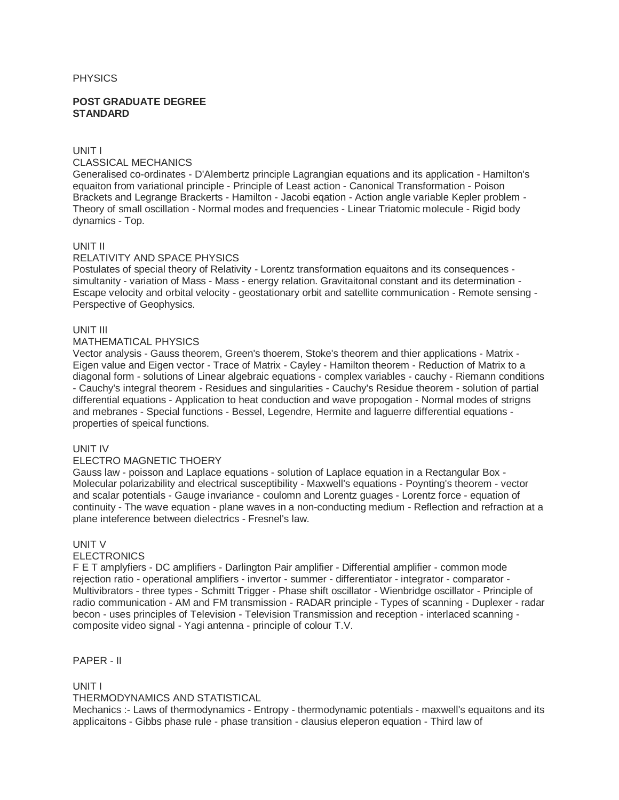#### **PHYSICS**

#### **POST GRADUATE DEGREE STANDARD**

## UNIT I

## CLASSICAL MECHANICS

Generalised co-ordinates - D'Alembertz principle Lagrangian equations and its application - Hamilton's equaiton from variational principle - Principle of Least action - Canonical Transformation - Poison Brackets and Legrange Brackerts - Hamilton - Jacobi eqation - Action angle variable Kepler problem - Theory of small oscillation - Normal modes and frequencies - Linear Triatomic molecule - Rigid body dynamics - Top.

## UNIT II

### RELATIVITY AND SPACE PHYSICS

Postulates of special theory of Relativity - Lorentz transformation equaitons and its consequences simultanity - variation of Mass - Mass - energy relation. Gravitaitonal constant and its determination - Escape velocity and orbital velocity - geostationary orbit and satellite communication - Remote sensing - Perspective of Geophysics.

## UNIT III

#### MATHEMATICAL PHYSICS

Vector analysis - Gauss theorem, Green's thoerem, Stoke's theorem and thier applications - Matrix - Eigen value and Eigen vector - Trace of Matrix - Cayley - Hamilton theorem - Reduction of Matrix to a diagonal form - solutions of Linear algebraic equations - complex variables - cauchy - Riemann conditions - Cauchy's integral theorem - Residues and singularities - Cauchy's Residue theorem - solution of partial differential equations - Application to heat conduction and wave propogation - Normal modes of strigns and mebranes - Special functions - Bessel, Legendre, Hermite and laguerre differential equations properties of speical functions.

#### UNIT IV

### ELECTRO MAGNETIC THOERY

Gauss law - poisson and Laplace equations - solution of Laplace equation in a Rectangular Box - Molecular polarizability and electrical susceptibility - Maxwell's equations - Poynting's theorem - vector and scalar potentials - Gauge invariance - coulomn and Lorentz guages - Lorentz force - equation of continuity - The wave equation - plane waves in a non-conducting medium - Reflection and refraction at a plane inteference between dielectrics - Fresnel's law.

### UNIT V

### **ELECTRONICS**

F E T amplyfiers - DC amplifiers - Darlington Pair amplifier - Differential amplifier - common mode rejection ratio - operational amplifiers - invertor - summer - differentiator - integrator - comparator - Multivibrators - three types - Schmitt Trigger - Phase shift oscillator - Wienbridge oscillator - Principle of radio communication - AM and FM transmission - RADAR principle - Types of scanning - Duplexer - radar becon - uses principles of Television - Television Transmission and reception - interlaced scanning composite video signal - Yagi antenna - principle of colour T.V.

PAPER - II

UNIT I

### THERMODYNAMICS AND STATISTICAL

Mechanics :- Laws of thermodynamics - Entropy - thermodynamic potentials - maxwell's equaitons and its applicaitons - Gibbs phase rule - phase transition - clausius eleperon equation - Third law of